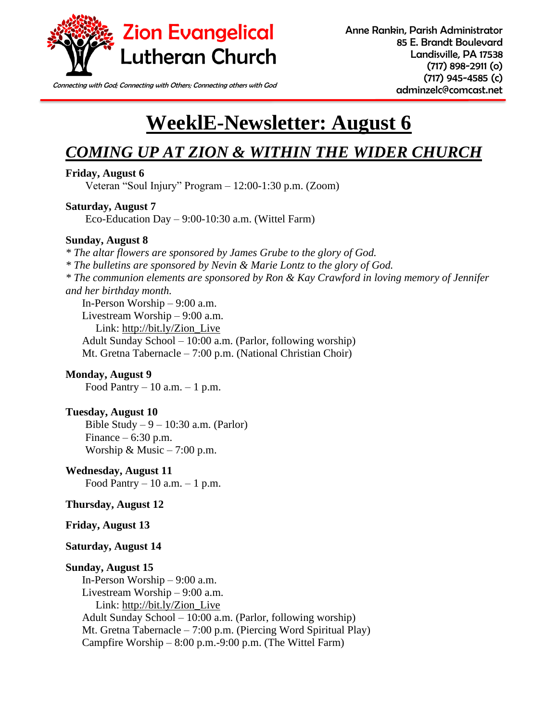

Connecting with God; Connecting with Others; Connecting others with God **connecting of connecting of connecting** 

# **WeeklE-Newsletter: August 6**

# *COMING UP AT ZION & WITHIN THE WIDER CHURCH*

### **Friday, August 6**

Veteran "Soul Injury" Program – 12:00-1:30 p.m. (Zoom)

### **Saturday, August 7**

Eco-Education Day – 9:00-10:30 a.m. (Wittel Farm)

### **Sunday, August 8**

*\* The altar flowers are sponsored by James Grube to the glory of God. \* The bulletins are sponsored by Nevin & Marie Lontz to the glory of God. \* The communion elements are sponsored by Ron & Kay Crawford in loving memory of Jennifer and her birthday month.*  In-Person Worship – 9:00 a.m. Livestream Worship – 9:00 a.m. Link: [http://bit.ly/Zion\\_Live](http://bit.ly/Zion_Live)

Adult Sunday School – 10:00 a.m. (Parlor, following worship) Mt. Gretna Tabernacle – 7:00 p.m. (National Christian Choir)

### **Monday, August 9** Food Pantry  $-10$  a.m.  $-1$  p.m.

### **Tuesday, August 10**

Bible Study –  $9 - 10:30$  a.m. (Parlor) Finance  $-6:30$  p.m. Worship & Music  $-7:00$  p.m.

### **Wednesday, August 11**

Food Pantry  $-10$  a.m.  $-1$  p.m.

### **Thursday, August 12**

### **Friday, August 13**

### **Saturday, August 14**

### **Sunday, August 15**

In-Person Worship – 9:00 a.m. Livestream Worship – 9:00 a.m. Link: [http://bit.ly/Zion\\_Live](http://bit.ly/Zion_Live) Adult Sunday School – 10:00 a.m. (Parlor, following worship) Mt. Gretna Tabernacle – 7:00 p.m. (Piercing Word Spiritual Play) Campfire Worship – 8:00 p.m.-9:00 p.m. (The Wittel Farm)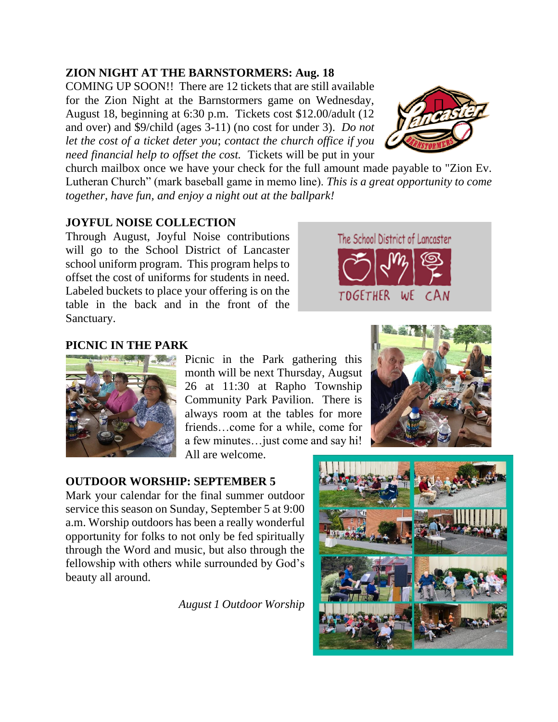# **ZION NIGHT AT THE BARNSTORMERS: Aug. 18**

COMING UP SOON!! There are 12 tickets that are still available for the Zion Night at the Barnstormers game on Wednesday, August 18, beginning at 6:30 p.m. Tickets cost \$12.00/adult (12 and over) and \$9/child (ages 3-11) (no cost for under 3). *Do not let the cost of a ticket deter you*; *contact the church office if you need financial help to offset the cost.* Tickets will be put in your

church mailbox once we have your check for the full amount made payable to "Zion Ev. Lutheran Church" (mark baseball game in memo line). *This is a great opportunity to come together, have fun, and enjoy a night out at the ballpark!*

# **JOYFUL NOISE COLLECTION**

Through August, Joyful Noise contributions will go to the School District of Lancaster school uniform program. This program helps to offset the cost of uniforms for students in need. Labeled buckets to place your offering is on the table in the back and in the front of the Sanctuary.



### **PICNIC IN THE PARK**



Picnic in the Park gathering this month will be next Thursday, Augsut 26 at 11:30 at Rapho Township Community Park Pavilion. There is always room at the tables for more friends…come for a while, come for a few minutes…just come and say hi! All are welcome.

### **OUTDOOR WORSHIP: SEPTEMBER 5**

Mark your calendar for the final summer outdoor service this season on Sunday, September 5 at 9:00 a.m. Worship outdoors has been a really wonderful opportunity for folks to not only be fed spiritually through the Word and music, but also through the fellowship with others while surrounded by God's beauty all around.

 *August 1 Outdoor Worship* 





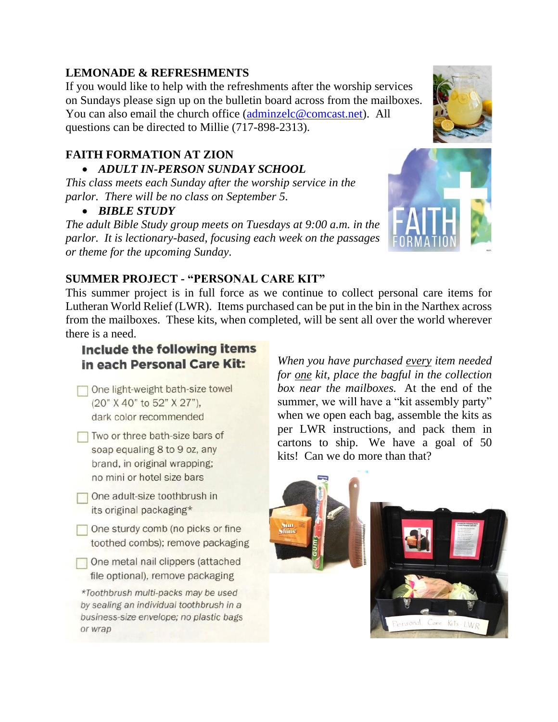# **LEMONADE & REFRESHMENTS**

If you would like to help with the refreshments after the worship services on Sundays please sign up on the bulletin board across from the mailboxes. You can also email the church office [\(adminzelc@comcast.net\)](mailto:adminzelc@comcast.net). All questions can be directed to Millie (717-898-2313).

# **FAITH FORMATION AT ZION**

### • *ADULT IN-PERSON SUNDAY SCHOOL*

*This class meets each Sunday after the worship service in the parlor. There will be no class on September 5.*

• *BIBLE STUDY*

*The adult Bible Study group meets on Tuesdays at 9:00 a.m. in the parlor. It is lectionary-based, focusing each week on the passages or theme for the upcoming Sunday.* 



# **SUMMER PROJECT - "PERSONAL CARE KIT"**

This summer project is in full force as we continue to collect personal care items for Lutheran World Relief (LWR). Items purchased can be put in the bin in the Narthex across from the mailboxes. These kits, when completed, will be sent all over the world wherever there is a need.

# **Include the following items** in each Personal Care Kit:

- One light-weight bath-size towel (20" X 40" to 52" X 27"), dark color recommended
- Two or three bath-size bars of soap equaling 8 to 9 oz, any brand, in original wrapping; no mini or hotel size bars
- One adult-size toothbrush in its original packaging\*
- One sturdy comb (no picks or fine toothed combs); remove packaging
- One metal nail clippers (attached file optional), remove packaging

\*Toothbrush multi-packs may be used by sealing an individual toothbrush in a business-size envelope; no plastic bags or wrap

*When you have purchased every item needed for one kit, place the bagful in the collection box near the mailboxes.* At the end of the summer, we will have a "kit assembly party" when we open each bag, assemble the kits as per LWR instructions, and pack them in cartons to ship. We have a goal of 50 kits! Can we do more than that?

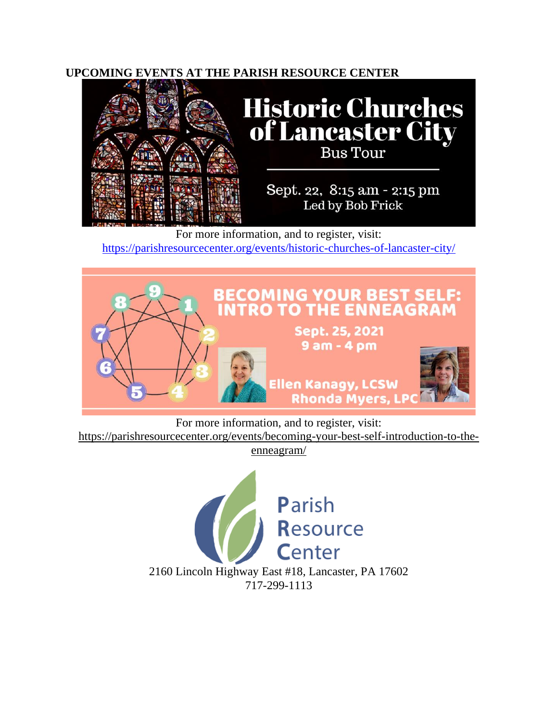### **UPCOMING EVENTS AT THE PARISH RESOURCE CENTER**



For more information, and to register, visit: <https://parishresourcecenter.org/events/historic-churches-of-lancaster-city/>



For more information, and to register, visit: [https://parishresourcecenter.org/events/becoming-your-best-self-introduction-to-the](https://parishresourcecenter.org/events/becoming-your-best-self-introduction-to-the-enneagram/)[enneagram/](https://parishresourcecenter.org/events/becoming-your-best-self-introduction-to-the-enneagram/)

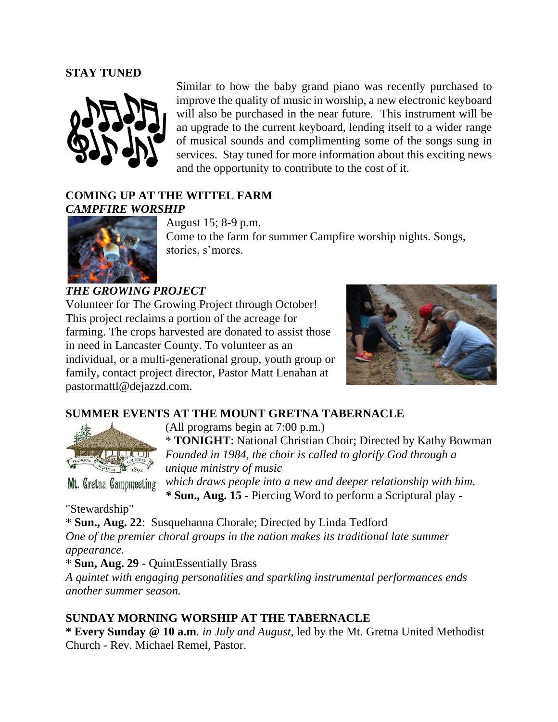### **STAY TUNED**



Similar to how the baby grand piano was recently purchased to improve the quality of music in worship, a new electronic keyboard will also be purchased in the near future. This instrument will be an upgrade to the current keyboard, lending itself to a wider range of musical sounds and complimenting some of the songs sung in services. Stay tuned for more information about this exciting news and the opportunity to contribute to the cost of it.

### **COMING UP AT THE WITTEL FARM** *CAMPFIRE WORSHIP*



August 15; 8-9 p.m. Come to the farm for summer Campfire worship nights. Songs, stories, s'mores.

### *THE GROWING PROJECT*

Volunteer for The Growing Project through October! This project reclaims a portion of the acreage for farming. The crops harvested are donated to assist those in need in Lancaster County. To volunteer as an individual, or a multi-generational group, youth group or family, contact project director, Pastor Matt Lenahan at [pastormattl@dejazzd.com.](mailto:pastormattl@dejazzd.com)



### **SUMMER EVENTS AT THE MOUNT GRETNA TABERNACLE**



(All programs begin at 7:00 p.m.)

\* **TONIGHT**: National Christian Choir; Directed by Kathy Bowman *Founded in 1984, the choir is called to glorify God through a unique ministry of music* 

Mt. Gretna Campmeeting

*which draws people into a new and deeper relationship with him. \** **Sun., Aug. 15** - Piercing Word to perform a Scriptural play -

"Stewardship"

\* **Sun., Aug. 22**: Susquehanna Chorale; Directed by Linda Tedford *One of the premier choral groups in the nation makes its traditional late summer appearance.*

\* **Sun, Aug. 29** - QuintEssentially Brass

*A quintet with engaging personalities and sparkling instrumental performances ends another summer season.*

# **SUNDAY MORNING WORSHIP AT THE TABERNACLE**

**\* Every Sunday @ 10 a.m***. in July and August,* led by the Mt. Gretna United Methodist Church - Rev. Michael Remel, Pastor.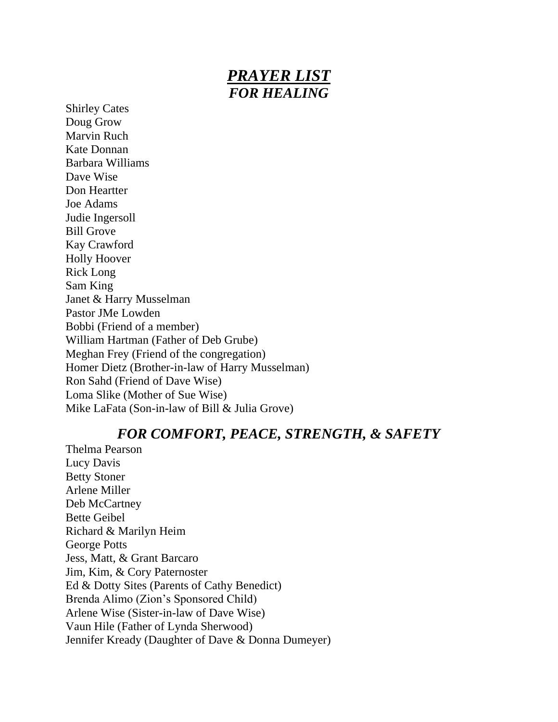# *PRAYER LIST FOR HEALING*

Shirley Cates Doug Grow Marvin Ruch Kate Donnan Barbara Williams Dave Wise Don Heartter Joe Adams Judie Ingersoll Bill Grove Kay Crawford Holly Hoover Rick Long Sam King Janet & Harry Musselman Pastor JMe Lowden Bobbi (Friend of a member) William Hartman (Father of Deb Grube) Meghan Frey (Friend of the congregation) Homer Dietz (Brother-in-law of Harry Musselman) Ron Sahd (Friend of Dave Wise) Loma Slike (Mother of Sue Wise) Mike LaFata (Son-in-law of Bill & Julia Grove)

# *FOR COMFORT, PEACE, STRENGTH, & SAFETY*

Thelma Pearson Lucy Davis Betty Stoner Arlene Miller Deb McCartney Bette Geibel Richard & Marilyn Heim George Potts Jess, Matt, & Grant Barcaro Jim, Kim, & Cory Paternoster Ed & Dotty Sites (Parents of Cathy Benedict) Brenda Alimo (Zion's Sponsored Child) Arlene Wise (Sister-in-law of Dave Wise) Vaun Hile (Father of Lynda Sherwood) Jennifer Kready (Daughter of Dave & Donna Dumeyer)